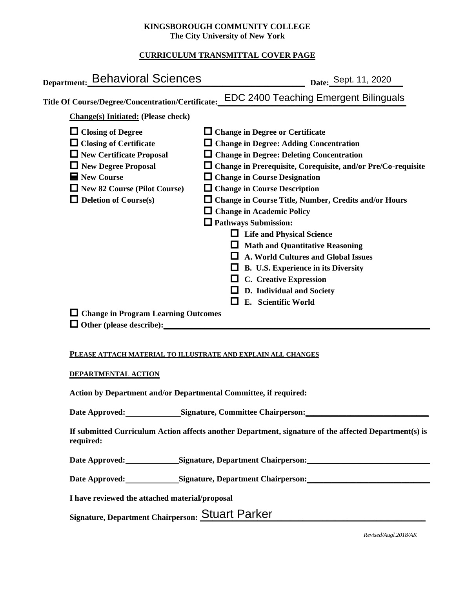#### **KINGSBOROUGH COMMUNITY COLLEGE The City University of New York**

# **CURRICULUM TRANSMITTAL COVER PAGE**

| Department: Behavioral Sciences                                                                                                                                                                                                | Date: Sept. 11, 2020                                                                                                                                                                                                                                                                                                                                                                                                                                                                                                                                                                                                                                                               |
|--------------------------------------------------------------------------------------------------------------------------------------------------------------------------------------------------------------------------------|------------------------------------------------------------------------------------------------------------------------------------------------------------------------------------------------------------------------------------------------------------------------------------------------------------------------------------------------------------------------------------------------------------------------------------------------------------------------------------------------------------------------------------------------------------------------------------------------------------------------------------------------------------------------------------|
| Title Of Course/Degree/Concentration/Certificate:                                                                                                                                                                              | <b>EDC 2400 Teaching Emergent Bilinguals</b>                                                                                                                                                                                                                                                                                                                                                                                                                                                                                                                                                                                                                                       |
| <b>Change(s)</b> Initiated: (Please check)                                                                                                                                                                                     |                                                                                                                                                                                                                                                                                                                                                                                                                                                                                                                                                                                                                                                                                    |
| $\Box$ Closing of Degree<br>$\Box$ Closing of Certificate<br>$\Box$ New Certificate Proposal<br>$\Box$ New Degree Proposal<br>$\blacksquare$ New Course<br>$\Box$ New 82 Course (Pilot Course)<br>$\Box$ Deletion of Course(s) | $\Box$ Change in Degree or Certificate<br>$\Box$ Change in Degree: Adding Concentration<br>$\Box$ Change in Degree: Deleting Concentration<br>$\Box$ Change in Prerequisite, Corequisite, and/or Pre/Co-requisite<br>$\Box$ Change in Course Designation<br>$\Box$ Change in Course Description<br>$\Box$ Change in Course Title, Number, Credits and/or Hours<br>$\Box$ Change in Academic Policy<br>$\Box$ Pathways Submission:<br><b>Life and Physical Science</b><br><b>Math and Quantitative Reasoning</b><br>A. World Cultures and Global Issues<br>B. U.S. Experience in its Diversity<br><b>C.</b> Creative Expression<br>D. Individual and Society<br>E. Scientific World |
| $\Box$ Change in Program Learning Outcomes<br>$\Box$ Other (please describe):                                                                                                                                                  |                                                                                                                                                                                                                                                                                                                                                                                                                                                                                                                                                                                                                                                                                    |
|                                                                                                                                                                                                                                |                                                                                                                                                                                                                                                                                                                                                                                                                                                                                                                                                                                                                                                                                    |

#### **PLEASE ATTACH MATERIAL TO ILLUSTRATE AND EXPLAIN ALL CHANGES**

#### **DEPARTMENTAL ACTION**

**Action by Department and/or Departmental Committee, if required:**

Date Approved: Signature, Committee Chairperson:

**If submitted Curriculum Action affects another Department, signature of the affected Department(s) is required:**

Date Approved: Signature, Department Chairperson: National Approved: National Approved: National Approved: National Approved: National Approved: National Approved: National Approved: National Approved: National Approved: N

Date Approved: Signature, Department Chairperson: Networking the Approved: Networking State Approved:

**I have reviewed the attached material/proposal**

Signature, Department Chairperson: Stuart Parker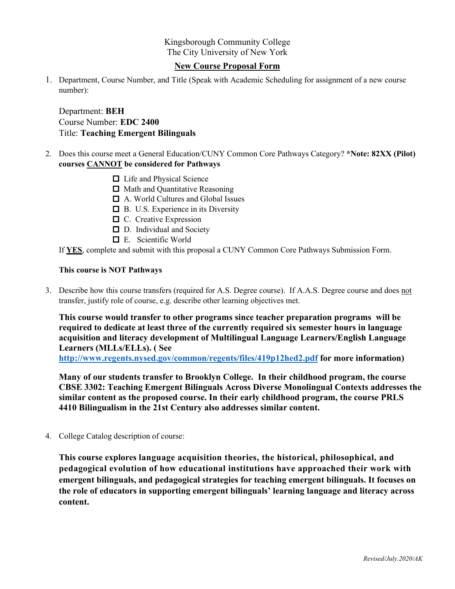Kingsborough Community College The City University of New York

#### **New Course Proposal Form**

1. Department, Course Number, and Title (Speak with Academic Scheduling for assignment of a new course number):

Department: **BEH** Course Number: **EDC 2400** Title: **Teaching Emergent Bilinguals**

- 2. Does this course meet a General Education/CUNY Common Core Pathways Category? **\*Note: 82XX (Pilot) courses CANNOT be considered for Pathways**
	- □ Life and Physical Science
	- **□** Math and Quantitative Reasoning
	- A. World Cultures and Global Issues
	- B. U.S. Experience in its Diversity
	- $\Box$  C. Creative Expression
	- □ D. Individual and Society
	- E. Scientific World

If **YES**, complete and submit with this proposal a CUNY Common Core Pathways Submission Form.

#### **This course is NOT Pathways**

3. Describe how this course transfers (required for A.S. Degree course). If A.A.S. Degree course and does not transfer, justify role of course, e.g. describe other learning objectives met.

**This course would transfer to other programs since teacher preparation programs will be required to dedicate at least three of the currently required six semester hours in language acquisition and literacy development of Multilingual Language Learners/English Language Learners (MLLs/ELLs). ( See <http://www.regents.nysed.gov/common/regents/files/419p12hed2.pdf> for more information)**

**Many of our students transfer to Brooklyn College. In their childhood program, the course CBSE 3302: Teaching Emergent Bilinguals Across Diverse Monolingual Contexts addresses the similar content as the proposed course. In their early childhood program, the course PRLS 4410 Bilingualism in the 21st Century also addresses similar content.**

4. College Catalog description of course:

**This course explores language acquisition theories, the historical, philosophical, and pedagogical evolution of how educational institutions have approached their work with emergent bilinguals, and pedagogical strategies for teaching emergent bilinguals. It focuses on the role of educators in supporting emergent bilinguals' learning language and literacy across content.**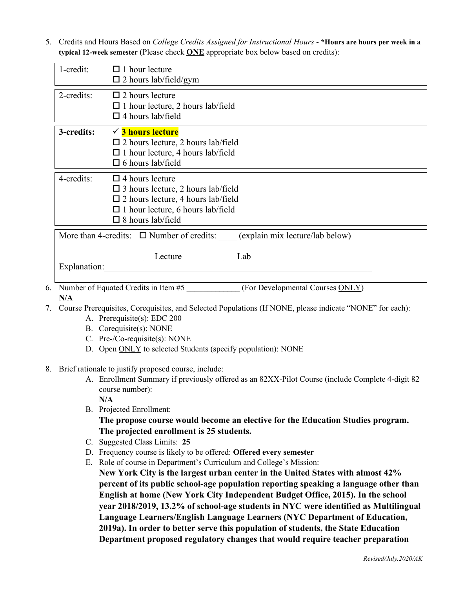5. Credits and Hours Based on *College Credits Assigned for Instructional Hours* - **\*Hours are hours per week in a typical 12-week semester** (Please check **ONE** appropriate box below based on credits):

| 1-credit:                                                                                                                                                                                                    | $\Box$ 1 hour lecture<br>$\square$ 2 hours lab/field/gym                                                                                                |  |  |
|--------------------------------------------------------------------------------------------------------------------------------------------------------------------------------------------------------------|---------------------------------------------------------------------------------------------------------------------------------------------------------|--|--|
| 2-credits:                                                                                                                                                                                                   | $\Box$ 2 hours lecture<br>$\Box$ 1 hour lecture, 2 hours lab/field<br>$\Box$ 4 hours lab/field                                                          |  |  |
| 3-credits:                                                                                                                                                                                                   | $\checkmark$ 3 hours lecture<br>$\square$ 2 hours lecture, 2 hours lab/field<br>$\Box$ 1 hour lecture, 4 hours lab/field<br>$\square$ 6 hours lab/field |  |  |
| 4-credits:<br>$\Box$ 4 hours lecture<br>$\square$ 3 hours lecture, 2 hours lab/field<br>$\square$ 2 hours lecture, 4 hours lab/field<br>$\Box$ 1 hour lecture, 6 hours lab/field<br>$\Box$ 8 hours lab/field |                                                                                                                                                         |  |  |
| More than 4-credits: $\Box$ Number of credits: (explain mix lecture/lab below)<br>Lecture<br>Lab<br>Explanation:                                                                                             |                                                                                                                                                         |  |  |
| Number of Equated Cradits in Itam #5<br>(For Davidapmand Course OMI V)                                                                                                                                       |                                                                                                                                                         |  |  |

- 6. Number of Equated Credits in Item #5 \_\_\_\_\_\_\_\_\_\_\_\_\_\_ (For Developmental Courses ONLY) **N/A**
- 7. Course Prerequisites, Corequisites, and Selected Populations (If NONE, please indicate "NONE" for each):
	- A. Prerequisite(s): EDC 200
	- B. Corequisite(s): NONE
	- C. Pre-/Co-requisite(s): NONE
	- D. Open ONLY to selected Students (specify population): NONE
- 8. Brief rationale to justify proposed course, include:
	- A. Enrollment Summary if previously offered as an 82XX-Pilot Course (include Complete 4-digit 82 course number):

**N/A**

B. Projected Enrollment:

**The propose course would become an elective for the Education Studies program. The projected enrollment is 25 students.**

- C. Suggested Class Limits: **25**
- D. Frequency course is likely to be offered: **Offered every semester**
- E. Role of course in Department's Curriculum and College's Mission:

**New York City is the largest urban center in the United States with almost 42% percent of its public school-age population reporting speaking a language other than English at home (New York City Independent Budget Office, 2015). In the school year 2018/2019, 13.2% of school-age students in NYC were identified as Multilingual Language Learners/English Language Learners (NYC Department of Education, 2019a). In order to better serve this population of students, the State Education Department proposed regulatory changes that would require teacher preparation**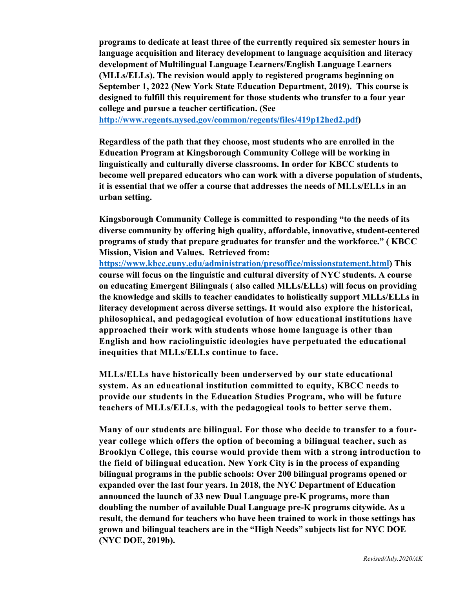**programs to dedicate at least three of the currently required six semester hours in language acquisition and literacy development to language acquisition and literacy development of Multilingual Language Learners/English Language Learners (MLLs/ELLs). The revision would apply to registered programs beginning on September 1, 2022 (New York State Education Department, 2019). This course is designed to fulfill this requirement for those students who transfer to a four year college and pursue a teacher certification. (See** 

**[http://www.regents.nysed.gov/common/regents/files/419p12hed2.pdf\)](http://www.regents.nysed.gov/common/regents/files/419p12hed2.pdf)**

**Regardless of the path that they choose, most students who are enrolled in the Education Program at Kingsborough Community College will be working in linguistically and culturally diverse classrooms. In order for KBCC students to become well prepared educators who can work with a diverse population of students, it is essential that we offer a course that addresses the needs of MLLs/ELLs in an urban setting.** 

**Kingsborough Community College is committed to responding "to the needs of its diverse community by offering high quality, affordable, innovative, student-centered programs of study that prepare graduates for transfer and the workforce." ( KBCC Mission, Vision and Values. Retrieved from:** 

**[https://www.kbcc.cuny.edu/administration/presoffice/missionstatement.html\)](https://www.kbcc.cuny.edu/administration/presoffice/missionstatement.html) This course will focus on the linguistic and cultural diversity of NYC students. A course on educating Emergent Bilinguals ( also called MLLs/ELLs) will focus on providing the knowledge and skills to teacher candidates to holistically support MLLs/ELLs in literacy development across diverse settings. It would also explore the historical, philosophical, and pedagogical evolution of how educational institutions have approached their work with students whose home language is other than English and how raciolinguistic ideologies have perpetuated the educational inequities that MLLs/ELLs continue to face.** 

**MLLs/ELLs have historically been underserved by our state educational system. As an educational institution committed to equity, KBCC needs to provide our students in the Education Studies Program, who will be future teachers of MLLs/ELLs, with the pedagogical tools to better serve them.** 

**Many of our students are bilingual. For those who decide to transfer to a fouryear college which offers the option of becoming a bilingual teacher, such as Brooklyn College, this course would provide them with a strong introduction to the field of bilingual education. New York City is in the process of expanding bilingual programs in the public schools: Over 200 bilingual programs opened or expanded over the last four years. In 2018, the NYC Department of Education announced the launch of 33 new Dual Language pre-K programs, more than doubling the number of available Dual Language pre-K programs citywide. As a result, the demand for teachers who have been trained to work in those settings has grown and bilingual teachers are in the "High Needs" subjects list for NYC DOE (NYC DOE, 2019b).**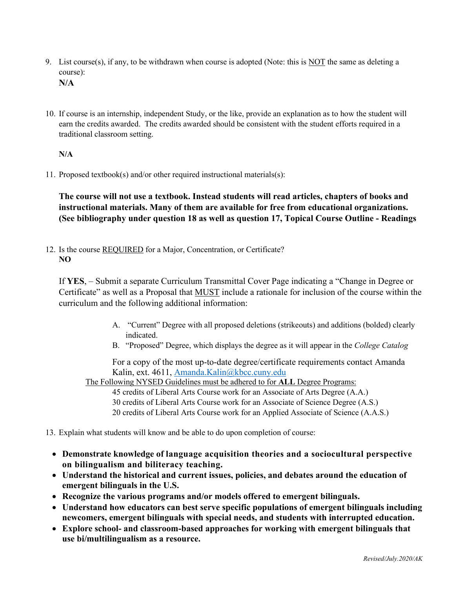- 9. List course(s), if any, to be withdrawn when course is adopted (Note: this is NOT the same as deleting a course): **N/A**
- 10. If course is an internship, independent Study, or the like, provide an explanation as to how the student will earn the credits awarded. The credits awarded should be consistent with the student efforts required in a traditional classroom setting.

## **N/A**

11. Proposed textbook(s) and/or other required instructional materials(s):

**The course will not use a textbook. Instead students will read articles, chapters of books and instructional materials. Many of them are available for free from educational organizations. (See bibliography under question 18 as well as question 17, Topical Course Outline - Readings**

12. Is the course REQUIRED for a Major, Concentration, or Certificate? **NO**

If **YES**, – Submit a separate Curriculum Transmittal Cover Page indicating a "Change in Degree or Certificate" as well as a Proposal that MUST include a rationale for inclusion of the course within the curriculum and the following additional information:

- A. "Current" Degree with all proposed deletions (strikeouts) and additions (bolded) clearly indicated.
- B. "Proposed" Degree, which displays the degree as it will appear in the *College Catalog*

For a copy of the most up-to-date degree/certificate requirements contact Amanda Kalin, ext. 4611, [Amanda.Kalin@kbcc.cuny.edu](mailto:Amanda.Kalin@kbcc.cuny.edu)

The Following NYSED Guidelines must be adhered to for **ALL** Degree Programs:

45 credits of Liberal Arts Course work for an Associate of Arts Degree (A.A.)

- 30 credits of Liberal Arts Course work for an Associate of Science Degree (A.S.)
- 20 credits of Liberal Arts Course work for an Applied Associate of Science (A.A.S.)
- 13. Explain what students will know and be able to do upon completion of course:
	- **Demonstrate knowledge of language acquisition theories and a sociocultural perspective on bilingualism and biliteracy teaching.**
	- **Understand the historical and current issues, policies, and debates around the education of emergent bilinguals in the U.S.**
	- **Recognize the various programs and/or models offered to emergent bilinguals.**
	- **Understand how educators can best serve specific populations of emergent bilinguals including newcomers, emergent bilinguals with special needs, and students with interrupted education.**
	- **Explore school- and classroom-based approaches for working with emergent bilinguals that use bi/multilingualism as a resource.**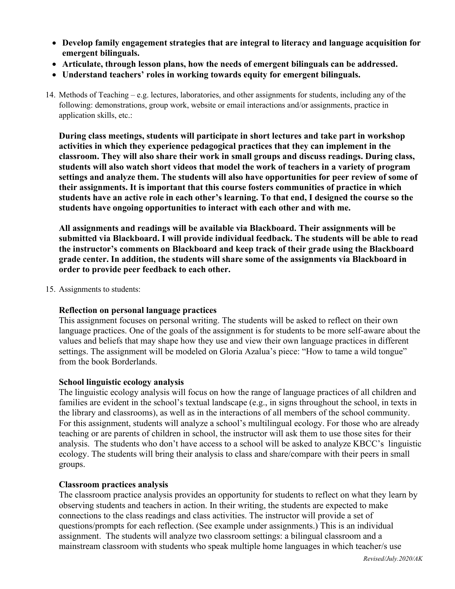- **Develop family engagement strategies that are integral to literacy and language acquisition for emergent bilinguals.**
- **Articulate, through lesson plans, how the needs of emergent bilinguals can be addressed.**
- **Understand teachers' roles in working towards equity for emergent bilinguals.**
- 14. Methods of Teaching e.g. lectures, laboratories, and other assignments for students, including any of the following: demonstrations, group work, website or email interactions and/or assignments, practice in application skills, etc.:

**During class meetings, students will participate in short lectures and take part in workshop activities in which they experience pedagogical practices that they can implement in the classroom. They will also share their work in small groups and discuss readings. During class, students will also watch short videos that model the work of teachers in a variety of program settings and analyze them. The students will also have opportunities for peer review of some of their assignments. It is important that this course fosters communities of practice in which students have an active role in each other's learning. To that end, I designed the course so the students have ongoing opportunities to interact with each other and with me.** 

**All assignments and readings will be available via Blackboard. Their assignments will be submitted via Blackboard. I will provide individual feedback. The students will be able to read the instructor's comments on Blackboard and keep track of their grade using the Blackboard grade center. In addition, the students will share some of the assignments via Blackboard in order to provide peer feedback to each other.**

15. Assignments to students:

## **Reflection on personal language practices**

This assignment focuses on personal writing. The students will be asked to reflect on their own language practices. One of the goals of the assignment is for students to be more self-aware about the values and beliefs that may shape how they use and view their own language practices in different settings. The assignment will be modeled on Gloria Azalua's piece: "How to tame a wild tongue" from the book Borderlands.

## **School linguistic ecology analysis**

The linguistic ecology analysis will focus on how the range of language practices of all children and families are evident in the school's textual landscape (e.g., in signs throughout the school, in texts in the library and classrooms), as well as in the interactions of all members of the school community. For this assignment, students will analyze a school's multilingual ecology. For those who are already teaching or are parents of children in school, the instructor will ask them to use those sites for their analysis. The students who don't have access to a school will be asked to analyze KBCC's linguistic ecology. The students will bring their analysis to class and share/compare with their peers in small groups.

## **Classroom practices analysis**

The classroom practice analysis provides an opportunity for students to reflect on what they learn by observing students and teachers in action. In their writing, the students are expected to make connections to the class readings and class activities. The instructor will provide a set of questions/prompts for each reflection. (See example under assignments.) This is an individual assignment. The students will analyze two classroom settings: a bilingual classroom and a mainstream classroom with students who speak multiple home languages in which teacher/s use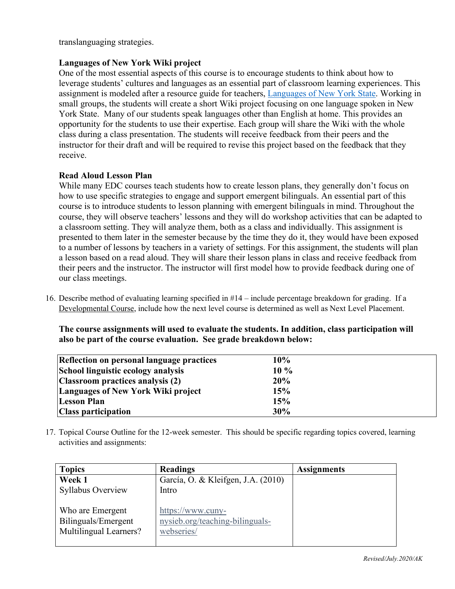translanguaging strategies.

# **Languages of New York Wiki project**

One of the most essential aspects of this course is to encourage students to think about how to leverage students' cultures and languages as an essential part of classroom learning experiences. This assignment is modeled after a resource guide for teachers, [Languages of New York State.](https://www.cuny-nysieb.org/wp-content/uploads/2016/05/NYSLanguageProfiles.pdf) Working in small groups, the students will create a short Wiki project focusing on one language spoken in New York State. Many of our students speak languages other than English at home. This provides an opportunity for the students to use their expertise. Each group will share the Wiki with the whole class during a class presentation. The students will receive feedback from their peers and the instructor for their draft and will be required to revise this project based on the feedback that they receive.

## **Read Aloud Lesson Plan**

While many EDC courses teach students how to create lesson plans, they generally don't focus on how to use specific strategies to engage and support emergent bilinguals. An essential part of this course is to introduce students to lesson planning with emergent bilinguals in mind. Throughout the course, they will observe teachers' lessons and they will do workshop activities that can be adapted to a classroom setting. They will analyze them, both as a class and individually. This assignment is presented to them later in the semester because by the time they do it, they would have been exposed to a number of lessons by teachers in a variety of settings. For this assignment, the students will plan a lesson based on a read aloud. They will share their lesson plans in class and receive feedback from their peers and the instructor. The instructor will first model how to provide feedback during one of our class meetings.

16. Describe method of evaluating learning specified in #14 – include percentage breakdown for grading. If a Developmental Course, include how the next level course is determined as well as Next Level Placement.

**The course assignments will used to evaluate the students. In addition, class participation will also be part of the course evaluation. See grade breakdown below:**

| Reflection on personal language practices | 10%    |
|-------------------------------------------|--------|
| School linguistic ecology analysis        | $10\%$ |
| Classroom practices analysis (2)          | 20%    |
| Languages of New York Wiki project        | 15%    |
| <b>Lesson Plan</b>                        | 15%    |
| <b>Class participation</b>                | 30%    |

17. Topical Course Outline for the 12-week semester. This should be specific regarding topics covered, learning activities and assignments:

| <b>Topics</b>                                                     | <b>Readings</b>                                                    | <b>Assignments</b> |
|-------------------------------------------------------------------|--------------------------------------------------------------------|--------------------|
| Week 1                                                            | García, O. & Kleifgen, J.A. (2010)                                 |                    |
| <b>Syllabus Overview</b>                                          | Intro                                                              |                    |
| Who are Emergent<br>Bilinguals/Emergent<br>Multilingual Learners? | https://www.cuny-<br>nysieb.org/teaching-bilinguals-<br>webseries/ |                    |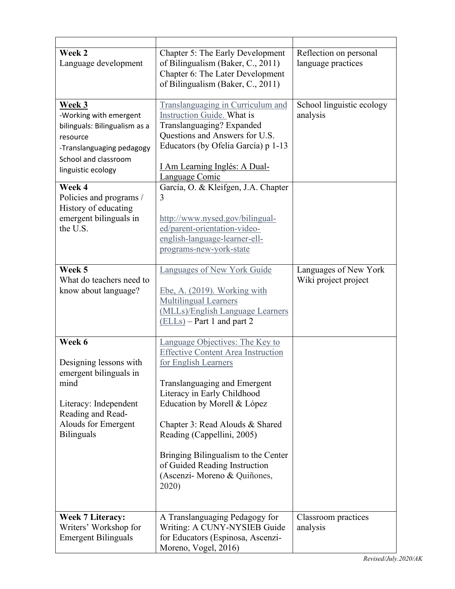| Week 2<br>Language development                                                                                                                                            | Chapter 5: The Early Development<br>of Bilingualism (Baker, C., 2011)<br>Chapter 6: The Later Development<br>of Bilingualism (Baker, C., 2011)                                                                                                                                                                                                                                       | Reflection on personal<br>language practices  |
|---------------------------------------------------------------------------------------------------------------------------------------------------------------------------|--------------------------------------------------------------------------------------------------------------------------------------------------------------------------------------------------------------------------------------------------------------------------------------------------------------------------------------------------------------------------------------|-----------------------------------------------|
| <b>Week 3</b><br>-Working with emergent<br>bilinguals: Bilingualism as a<br>resource<br>-Translanguaging pedagogy<br>School and classroom<br>linguistic ecology<br>Week 4 | Translanguaging in Curriculum and<br>Instruction Guide. What is<br>Translanguaging? Expanded<br>Questions and Answers for U.S.<br>Educators (by Ofelia García) p 1-13<br><u>I Am Learning Inglés: A Dual-</u><br>Language Comic<br>García, O. & Kleifgen, J.A. Chapter                                                                                                               | School linguistic ecology<br>analysis         |
| Policies and programs /<br>History of educating<br>emergent bilinguals in<br>the U.S.                                                                                     | 3<br>http://www.nysed.gov/bilingual-<br>ed/parent-orientation-video-<br>english-language-learner-ell-<br>programs-new-york-state                                                                                                                                                                                                                                                     |                                               |
| Week 5<br>What do teachers need to<br>know about language?                                                                                                                | Languages of New York Guide<br>Ebe, A. (2019). Working with<br><b>Multilingual Learners</b><br>(MLLs)/English Language Learners<br>$(ELLs)$ – Part 1 and part 2                                                                                                                                                                                                                      | Languages of New York<br>Wiki project project |
| Week 6<br>Designing lessons with<br>emergent bilinguals in<br>mind<br>Literacy: Independent<br>Reading and Read-<br>Alouds for Emergent<br><b>Bilinguals</b>              | Language Objectives: The Key to<br><b>Effective Content Area Instruction</b><br>for English Learners<br>Translanguaging and Emergent<br>Literacy in Early Childhood<br>Education by Morell & López<br>Chapter 3: Read Alouds & Shared<br>Reading (Cappellini, 2005)<br>Bringing Bilingualism to the Center<br>of Guided Reading Instruction<br>(Ascenzi- Moreno & Quiñones,<br>2020) |                                               |
| <b>Week 7 Literacy:</b><br>Writers' Workshop for<br><b>Emergent Bilinguals</b>                                                                                            | A Translanguaging Pedagogy for<br>Writing: A CUNY-NYSIEB Guide<br>for Educators (Espinosa, Ascenzi-<br>Moreno, Vogel, 2016)                                                                                                                                                                                                                                                          | Classroom practices<br>analysis               |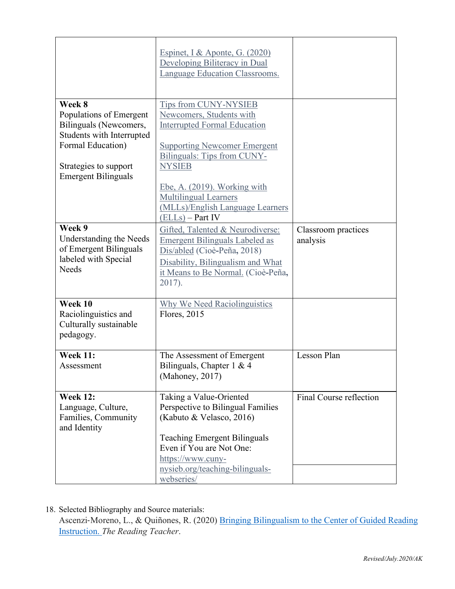|                                                                                                                                                                      | <u>Espinet, I &amp; Aponte, G. (2020)</u><br>Developing Biliteracy in Dual<br>Language Education Classrooms.                                                                                                                                                                                              |                                 |
|----------------------------------------------------------------------------------------------------------------------------------------------------------------------|-----------------------------------------------------------------------------------------------------------------------------------------------------------------------------------------------------------------------------------------------------------------------------------------------------------|---------------------------------|
| Week 8<br>Populations of Emergent<br>Bilinguals (Newcomers,<br>Students with Interrupted<br>Formal Education)<br>Strategies to support<br><b>Emergent Bilinguals</b> | Tips from CUNY-NYSIEB<br>Newcomers, Students with<br><b>Interrupted Formal Education</b><br><b>Supporting Newcomer Emergent</b><br>Bilinguals: Tips from CUNY-<br><b>NYSIEB</b><br>Ebe, A. (2019). Working with<br><b>Multilingual Learners</b><br>(MLLs)/English Language Learners<br>$(ELLs) - Part IV$ |                                 |
| Week 9<br>Understanding the Needs<br>of Emergent Bilinguals<br>labeled with Special<br>Needs                                                                         | Gifted, Talented & Neurodiverse:<br><b>Emergent Bilinguals Labeled as</b><br>Dis/abled (Cioè-Peña, 2018)<br>Disability, Bilingualism and What<br>it Means to Be Normal. (Cioè-Peña,<br>2017).                                                                                                             | Classroom practices<br>analysis |
| Week 10<br>Raciolinguistics and<br>Culturally sustainable<br>pedagogy.                                                                                               | Why We Need Raciolinguistics<br>Flores, 2015                                                                                                                                                                                                                                                              |                                 |
| <b>Week 11:</b><br>Assessment                                                                                                                                        | The Assessment of Emergent<br>Bilinguals, Chapter 1 & 4<br>(Mahoney, 2017)                                                                                                                                                                                                                                | Lesson Plan                     |
| <b>Week 12:</b><br>Language, Culture,<br>Families, Community<br>and Identity                                                                                         | Taking a Value-Oriented<br>Perspective to Bilingual Families<br>(Kabuto & Velasco, 2016)<br><b>Teaching Emergent Bilinguals</b><br>Even if You are Not One:<br>https://www.cuny-<br>nysieb.org/teaching-bilinguals-<br>webseries/                                                                         | Final Course reflection         |

18. Selected Bibliography and Source materials:

Ascenzi-Moreno, L., & Quiñones, R. (2020) Bringing Bilingualism to the Center of Guided Reading [Instruction.](https://ila.onlinelibrary.wiley.com/doi/epdf/10.1002/trtr.1922) *The Reading Teacher*.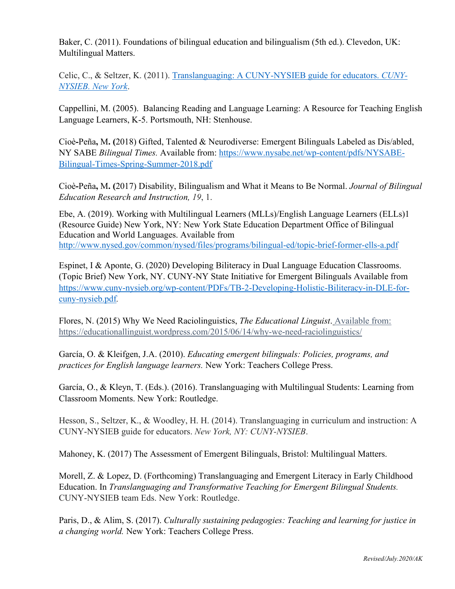Baker, C. (2011). Foundations of bilingual education and bilingualism (5th ed.). Clevedon, UK: Multilingual Matters.

Celic, C., & Seltzer, K. (2011). [Translanguaging: A CUNY-NYSIEB guide for educators.](https://www.cuny-nysieb.org/wp-content/uploads/2016/04/Translanguaging-Guide-March-2013.pdf) *CUNY-[NYSIEB. New York](https://www.cuny-nysieb.org/wp-content/uploads/2016/04/Translanguaging-Guide-March-2013.pdf)*.

Cappellini, M. (2005). Balancing Reading and Language Learning: A Resource for Teaching English Language Learners, K-5. Portsmouth, NH: Stenhouse.

Cioè**-**Peña**,** M**. (**2018) Gifted, Talented & Neurodiverse: Emergent Bilinguals Labeled as Dis/abled, NY SABE *Bilingual Times.* Available from: [https://www.nysabe.net/wp-content/pdfs/NYSABE-](https://www.nysabe.net/wp-content/pdfs/NYSABE-Bilingual-Times-Spring-Summer-2018.pdf)[Bilingual-Times-Spring-Summer-2018.pdf](https://www.nysabe.net/wp-content/pdfs/NYSABE-Bilingual-Times-Spring-Summer-2018.pdf)

Cioè**-**Peña**,** M**. (**2017) Disability, Bilingualism and What it Means to Be Normal. *Journal of Bilingual Education Research and Instruction, 19*, 1.

Ebe, A. (2019). Working with Multilingual Learners (MLLs)/English Language Learners (ELLs)1 (Resource Guide) New York, NY: New York State Education Department Office of Bilingual Education and World Languages. Available from <http://www.nysed.gov/common/nysed/files/programs/bilingual-ed/topic-brief-former-ells-a.pdf>

Espinet, I & Aponte, G. (2020) Developing Biliteracy in Dual Language Education Classrooms. (Topic Brief) New York, NY. CUNY-NY State Initiative for Emergent Bilinguals Available from [https://www.cuny-nysieb.org/wp-content/PDFs/TB-2-Developing-Holistic-Biliteracy-in-DLE-for](https://www.cuny-nysieb.org/wp-content/PDFs/TB-2-Developing-Holistic-Biliteracy-in-DLE-for-cuny-nysieb.pdf)[cuny-nysieb.pdf](https://www.cuny-nysieb.org/wp-content/PDFs/TB-2-Developing-Holistic-Biliteracy-in-DLE-for-cuny-nysieb.pdf)*.* 

Flores, N. (2015) Why We Need Raciolinguistics, *The Educational Linguist*. Available from: https://educationallinguist.wordpress.com/2015/06/14/why-we-need-raciolinguistics/

García, O. & Kleifgen, J.A. (2010). *Educating emergent bilinguals: Policies, programs, and practices for English language learners.* New York: Teachers College Press.

García, O., & Kleyn, T. (Eds.). (2016). Translanguaging with Multilingual Students: Learning from Classroom Moments. New York: Routledge.

Hesson, S., Seltzer, K., & Woodley, H. H. (2014). Translanguaging in curriculum and instruction: A CUNY-NYSIEB guide for educators. *New York, NY: CUNY-NYSIEB*.

Mahoney, K. (2017) The Assessment of Emergent Bilinguals, Bristol: Multilingual Matters.

Morell, Z. & Lopez, D. (Forthcoming) Translanguaging and Emergent Literacy in Early Childhood Education. In *Translanguaging and Transformative Teaching for Emergent Bilingual Students.*  CUNY-NYSIEB team Eds. New York: Routledge.

Paris, D., & Alim, S. (2017). *Culturally sustaining pedagogies: Teaching and learning for justice in a changing world.* New York: Teachers College Press.